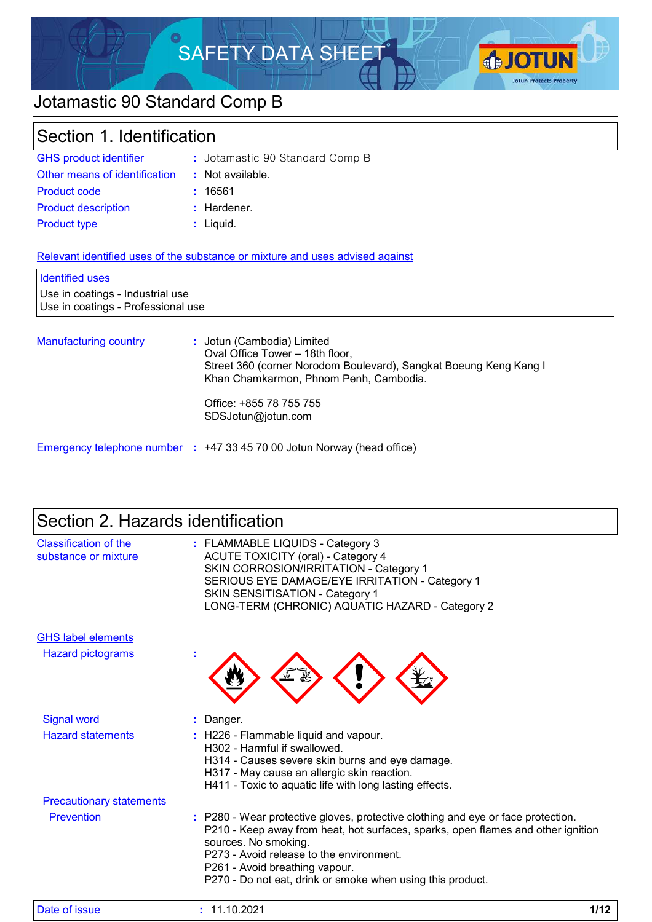

# Jotamastic 90 Standard Comp B

| Section 1. Identification                                                                        |                                                                                                                                                                                                                               |  |
|--------------------------------------------------------------------------------------------------|-------------------------------------------------------------------------------------------------------------------------------------------------------------------------------------------------------------------------------|--|
| <b>GHS product identifier</b>                                                                    | : Jotamastic 90 Standard Comp B                                                                                                                                                                                               |  |
| Other means of identification                                                                    | $\therefore$ Not available.                                                                                                                                                                                                   |  |
| <b>Product code</b>                                                                              | : 16561                                                                                                                                                                                                                       |  |
| <b>Product description</b>                                                                       | : Hardener.                                                                                                                                                                                                                   |  |
| <b>Product type</b>                                                                              | : Liquid.                                                                                                                                                                                                                     |  |
| <b>Identified uses</b><br>Use in coatings - Industrial use<br>Use in coatings - Professional use | Relevant identified uses of the substance or mixture and uses advised against                                                                                                                                                 |  |
| <b>Manufacturing country</b>                                                                     | : Jotun (Cambodia) Limited<br>Oval Office Tower - 18th floor,<br>Street 360 (corner Norodom Boulevard), Sangkat Boeung Keng Kang I<br>Khan Chamkarmon, Phnom Penh, Cambodia.<br>Office: +855 78 755 755<br>SDSJotun@jotun.com |  |

# Section 2. Hazards identification

Emergency telephone number **:** +47 33 45 70 00 Jotun Norway (head office)

| <b>Classification of the</b><br>substance or mixture | : FLAMMABLE LIQUIDS - Category 3<br><b>ACUTE TOXICITY (oral) - Category 4</b><br>SKIN CORROSION/IRRITATION - Category 1<br>SERIOUS EYE DAMAGE/EYE IRRITATION - Category 1<br>SKIN SENSITISATION - Category 1<br>LONG-TERM (CHRONIC) AQUATIC HAZARD - Category 2                                                                          |
|------------------------------------------------------|------------------------------------------------------------------------------------------------------------------------------------------------------------------------------------------------------------------------------------------------------------------------------------------------------------------------------------------|
| <b>GHS label elements</b>                            |                                                                                                                                                                                                                                                                                                                                          |
| <b>Hazard pictograms</b>                             |                                                                                                                                                                                                                                                                                                                                          |
| <b>Signal word</b>                                   | Danger.                                                                                                                                                                                                                                                                                                                                  |
| <b>Hazard statements</b>                             | : H226 - Flammable liquid and vapour.<br>H302 - Harmful if swallowed.<br>H314 - Causes severe skin burns and eye damage.<br>H317 - May cause an allergic skin reaction.<br>H411 - Toxic to aquatic life with long lasting effects.                                                                                                       |
| <b>Precautionary statements</b>                      |                                                                                                                                                                                                                                                                                                                                          |
| Prevention                                           | : P280 - Wear protective gloves, protective clothing and eye or face protection.<br>P210 - Keep away from heat, hot surfaces, sparks, open flames and other ignition<br>sources. No smoking.<br>P273 - Avoid release to the environment.<br>P261 - Avoid breathing vapour.<br>P270 - Do not eat, drink or smoke when using this product. |

| Date of issue | .10.2021<br>- י | 140 |
|---------------|-----------------|-----|
|---------------|-----------------|-----|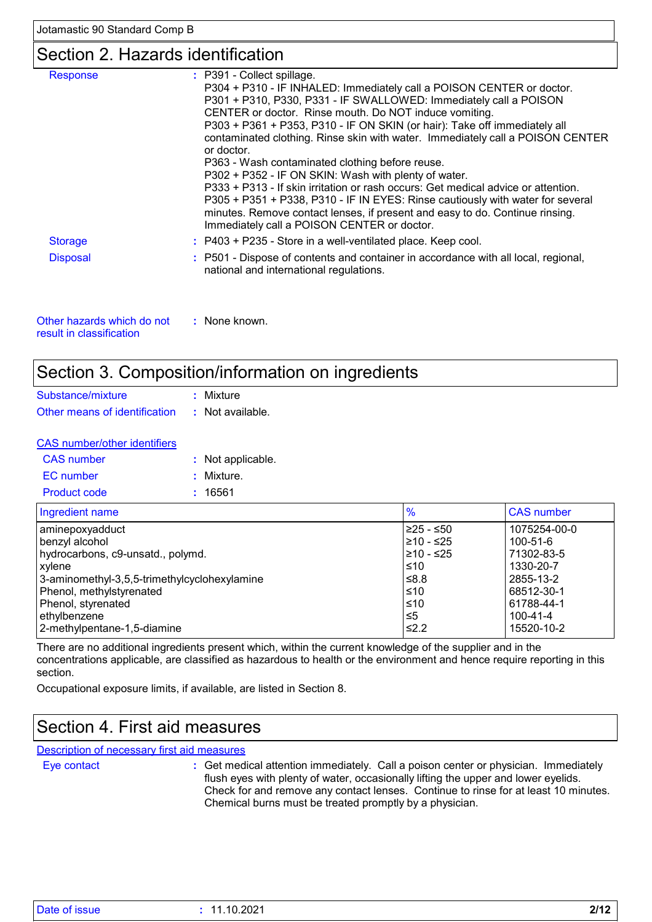### Section 2. Hazards identification

| <b>Response</b> | : P391 - Collect spillage.<br>P304 + P310 - IF INHALED: Immediately call a POISON CENTER or doctor.<br>P301 + P310, P330, P331 - IF SWALLOWED: Immediately call a POISON<br>CENTER or doctor. Rinse mouth. Do NOT induce vomiting.<br>P303 + P361 + P353, P310 - IF ON SKIN (or hair): Take off immediately all<br>contaminated clothing. Rinse skin with water. Immediately call a POISON CENTER                           |
|-----------------|-----------------------------------------------------------------------------------------------------------------------------------------------------------------------------------------------------------------------------------------------------------------------------------------------------------------------------------------------------------------------------------------------------------------------------|
|                 | or doctor.<br>P363 - Wash contaminated clothing before reuse.<br>P302 + P352 - IF ON SKIN: Wash with plenty of water.<br>P333 + P313 - If skin irritation or rash occurs: Get medical advice or attention.<br>P305 + P351 + P338, P310 - IF IN EYES: Rinse cautiously with water for several<br>minutes. Remove contact lenses, if present and easy to do. Continue rinsing.<br>Immediately call a POISON CENTER or doctor. |
| <b>Storage</b>  | : P403 + P235 - Store in a well-ventilated place. Keep cool.                                                                                                                                                                                                                                                                                                                                                                |
| <b>Disposal</b> | : P501 - Dispose of contents and container in accordance with all local, regional,<br>national and international regulations.                                                                                                                                                                                                                                                                                               |

| Other hazards which do not | : None known. |
|----------------------------|---------------|
| result in classification   |               |

### Section 3. Composition/information on ingredients

| Substance/mixture             | : Mixture        |
|-------------------------------|------------------|
| Other means of identification | : Not available. |

| <b>CAS</b> number/other identifiers |                   |  |
|-------------------------------------|-------------------|--|
| CAS number                          | : Not applicable. |  |
| EC number                           | : Mixture.        |  |
| <b>Product code</b>                 | : 16561           |  |

| Ingredient name                              | $\%$       | <b>CAS number</b> |
|----------------------------------------------|------------|-------------------|
| aminepoxyadduct                              | 225 - ≤50  | 1075254-00-0      |
| benzyl alcohol                               | ≥10 - ≤25  | 100-51-6          |
| hydrocarbons, c9-unsatd., polymd.            | 210 - ≤25  | 71302-83-5        |
| xylene                                       | ≤10        | 1330-20-7         |
| 3-aminomethyl-3,5,5-trimethylcyclohexylamine | 8.8≥       | 2855-13-2         |
| Phenol, methylstyrenated                     | ≤10        | 68512-30-1        |
| Phenol, styrenated                           | ≤10        | 61788-44-1        |
| ethylbenzene                                 | ≤5         | 100-41-4          |
| 2-methylpentane-1,5-diamine                  | $\leq 2.2$ | 15520-10-2        |

There are no additional ingredients present which, within the current knowledge of the supplier and in the concentrations applicable, are classified as hazardous to health or the environment and hence require reporting in this section.

Occupational exposure limits, if available, are listed in Section 8.

### Section 4. First aid measures

Description of necessary first aid measures

Eye contact **:**

Get medical attention immediately. Call a poison center or physician. Immediately flush eyes with plenty of water, occasionally lifting the upper and lower eyelids. Check for and remove any contact lenses. Continue to rinse for at least 10 minutes. Chemical burns must be treated promptly by a physician.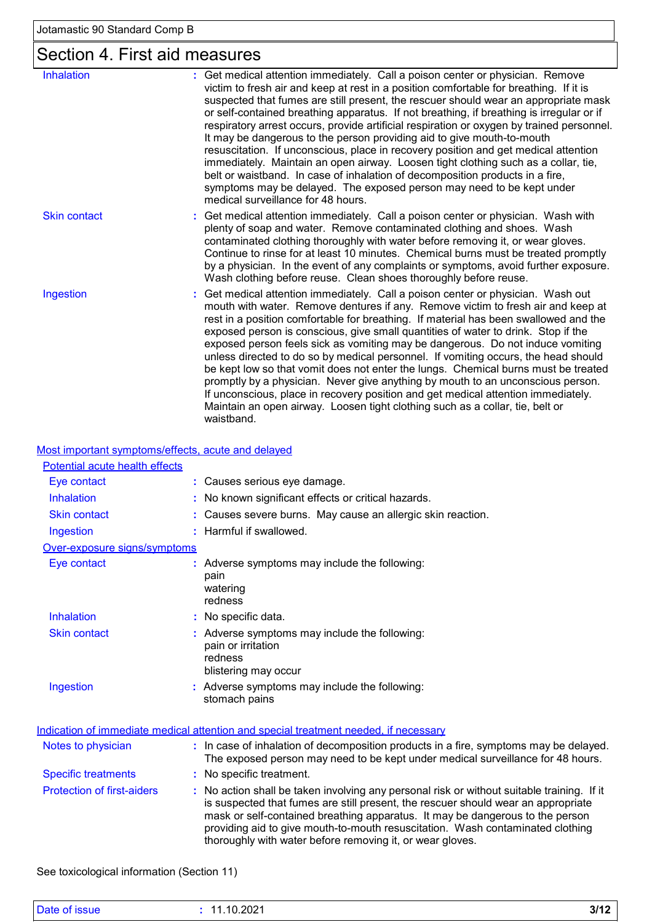# Section 4. First aid measures

| <b>Inhalation</b>   | : Get medical attention immediately. Call a poison center or physician. Remove<br>victim to fresh air and keep at rest in a position comfortable for breathing. If it is<br>suspected that fumes are still present, the rescuer should wear an appropriate mask<br>or self-contained breathing apparatus. If not breathing, if breathing is irregular or if<br>respiratory arrest occurs, provide artificial respiration or oxygen by trained personnel.<br>It may be dangerous to the person providing aid to give mouth-to-mouth<br>resuscitation. If unconscious, place in recovery position and get medical attention<br>immediately. Maintain an open airway. Loosen tight clothing such as a collar, tie,<br>belt or waistband. In case of inhalation of decomposition products in a fire,<br>symptoms may be delayed. The exposed person may need to be kept under<br>medical surveillance for 48 hours. |
|---------------------|-----------------------------------------------------------------------------------------------------------------------------------------------------------------------------------------------------------------------------------------------------------------------------------------------------------------------------------------------------------------------------------------------------------------------------------------------------------------------------------------------------------------------------------------------------------------------------------------------------------------------------------------------------------------------------------------------------------------------------------------------------------------------------------------------------------------------------------------------------------------------------------------------------------------|
| <b>Skin contact</b> | : Get medical attention immediately. Call a poison center or physician. Wash with<br>plenty of soap and water. Remove contaminated clothing and shoes. Wash<br>contaminated clothing thoroughly with water before removing it, or wear gloves.<br>Continue to rinse for at least 10 minutes. Chemical burns must be treated promptly<br>by a physician. In the event of any complaints or symptoms, avoid further exposure.<br>Wash clothing before reuse. Clean shoes thoroughly before reuse.                                                                                                                                                                                                                                                                                                                                                                                                                 |
| Ingestion           | Get medical attention immediately. Call a poison center or physician. Wash out<br>mouth with water. Remove dentures if any. Remove victim to fresh air and keep at<br>rest in a position comfortable for breathing. If material has been swallowed and the<br>exposed person is conscious, give small quantities of water to drink. Stop if the<br>exposed person feels sick as vomiting may be dangerous. Do not induce vomiting<br>unless directed to do so by medical personnel. If vomiting occurs, the head should<br>be kept low so that vomit does not enter the lungs. Chemical burns must be treated<br>promptly by a physician. Never give anything by mouth to an unconscious person.<br>If unconscious, place in recovery position and get medical attention immediately.<br>Maintain an open airway. Loosen tight clothing such as a collar, tie, belt or<br>waistband.                            |

Most important symptoms/effects, acute and delayed

| Potential acute health effects    |                                                                                                                                                                                                                                                                                                                                                                                                                 |
|-----------------------------------|-----------------------------------------------------------------------------------------------------------------------------------------------------------------------------------------------------------------------------------------------------------------------------------------------------------------------------------------------------------------------------------------------------------------|
| Eye contact                       | : Causes serious eye damage.                                                                                                                                                                                                                                                                                                                                                                                    |
| Inhalation                        | : No known significant effects or critical hazards.                                                                                                                                                                                                                                                                                                                                                             |
| <b>Skin contact</b>               | : Causes severe burns. May cause an allergic skin reaction.                                                                                                                                                                                                                                                                                                                                                     |
| Ingestion                         | : Harmful if swallowed.                                                                                                                                                                                                                                                                                                                                                                                         |
| Over-exposure signs/symptoms      |                                                                                                                                                                                                                                                                                                                                                                                                                 |
| Eye contact                       | : Adverse symptoms may include the following:<br>pain<br>watering<br>redness                                                                                                                                                                                                                                                                                                                                    |
| Inhalation                        | : No specific data.                                                                                                                                                                                                                                                                                                                                                                                             |
| <b>Skin contact</b>               | : Adverse symptoms may include the following:<br>pain or irritation<br>redness<br>blistering may occur                                                                                                                                                                                                                                                                                                          |
| Ingestion                         | : Adverse symptoms may include the following:<br>stomach pains                                                                                                                                                                                                                                                                                                                                                  |
|                                   | Indication of immediate medical attention and special treatment needed, if necessary                                                                                                                                                                                                                                                                                                                            |
| Notes to physician                | : In case of inhalation of decomposition products in a fire, symptoms may be delayed.<br>The exposed person may need to be kept under medical surveillance for 48 hours.                                                                                                                                                                                                                                        |
| <b>Specific treatments</b>        | : No specific treatment.                                                                                                                                                                                                                                                                                                                                                                                        |
| <b>Protection of first-aiders</b> | : No action shall be taken involving any personal risk or without suitable training. If it<br>is suspected that fumes are still present, the rescuer should wear an appropriate<br>mask or self-contained breathing apparatus. It may be dangerous to the person<br>providing aid to give mouth-to-mouth resuscitation. Wash contaminated clothing<br>thoroughly with water before removing it, or wear gloves. |

See toxicological information (Section 11)

| $\sim$<br>тлате<br>$  -$ | .2021<br>10<br>- 2 | 3/1 |
|--------------------------|--------------------|-----|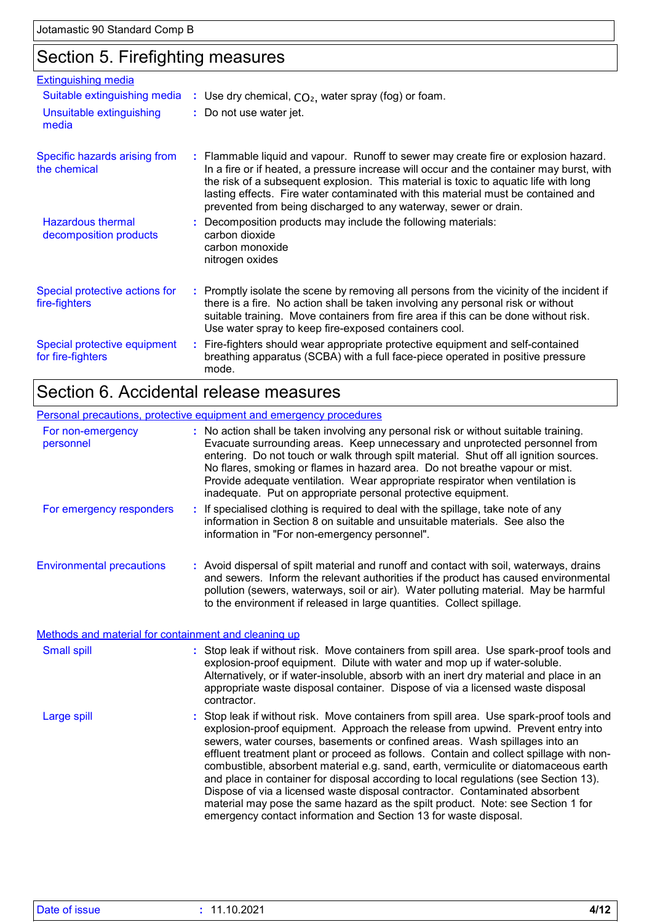# Section 5. Firefighting measures

| <b>Extinguishing media</b>                         |                                                                                                                                                                                                                                                                                                                                                                                                                                  |
|----------------------------------------------------|----------------------------------------------------------------------------------------------------------------------------------------------------------------------------------------------------------------------------------------------------------------------------------------------------------------------------------------------------------------------------------------------------------------------------------|
| Suitable extinguishing media                       | : Use dry chemical, $CO2$ , water spray (fog) or foam.                                                                                                                                                                                                                                                                                                                                                                           |
| Unsuitable extinguishing<br>media                  | : Do not use water jet.                                                                                                                                                                                                                                                                                                                                                                                                          |
| Specific hazards arising from<br>the chemical      | : Flammable liquid and vapour. Runoff to sewer may create fire or explosion hazard.<br>In a fire or if heated, a pressure increase will occur and the container may burst, with<br>the risk of a subsequent explosion. This material is toxic to aquatic life with long<br>lasting effects. Fire water contaminated with this material must be contained and<br>prevented from being discharged to any waterway, sewer or drain. |
| <b>Hazardous thermal</b><br>decomposition products | : Decomposition products may include the following materials:<br>carbon dioxide<br>carbon monoxide<br>nitrogen oxides                                                                                                                                                                                                                                                                                                            |
| Special protective actions for<br>fire-fighters    | : Promptly isolate the scene by removing all persons from the vicinity of the incident if<br>there is a fire. No action shall be taken involving any personal risk or without<br>suitable training. Move containers from fire area if this can be done without risk.<br>Use water spray to keep fire-exposed containers cool.                                                                                                    |
| Special protective equipment<br>for fire-fighters  | : Fire-fighters should wear appropriate protective equipment and self-contained<br>breathing apparatus (SCBA) with a full face-piece operated in positive pressure<br>mode.                                                                                                                                                                                                                                                      |

## Section 6. Accidental release measures

|                                  | Personal precautions, protective equipment and emergency procedures                                                                                                                                                                                                                                                                                                                                                                                                                           |
|----------------------------------|-----------------------------------------------------------------------------------------------------------------------------------------------------------------------------------------------------------------------------------------------------------------------------------------------------------------------------------------------------------------------------------------------------------------------------------------------------------------------------------------------|
| For non-emergency<br>personnel   | : No action shall be taken involving any personal risk or without suitable training.<br>Evacuate surrounding areas. Keep unnecessary and unprotected personnel from<br>entering. Do not touch or walk through spilt material. Shut off all ignition sources.<br>No flares, smoking or flames in hazard area. Do not breathe vapour or mist.<br>Provide adequate ventilation. Wear appropriate respirator when ventilation is<br>inadequate. Put on appropriate personal protective equipment. |
| For emergency responders         | : If specialised clothing is required to deal with the spillage, take note of any<br>information in Section 8 on suitable and unsuitable materials. See also the<br>information in "For non-emergency personnel".                                                                                                                                                                                                                                                                             |
| <b>Environmental precautions</b> | : Avoid dispersal of spilt material and runoff and contact with soil, waterways, drains<br>and sewers. Inform the relevant authorities if the product has caused environmental<br>pollution (sewers, waterways, soil or air). Water polluting material. May be harmful<br>to the environment if released in large quantities. Collect spillage.                                                                                                                                               |

Methods and material for containment and cleaning up

| <b>Small spill</b> | : Stop leak if without risk. Move containers from spill area. Use spark-proof tools and<br>explosion-proof equipment. Dilute with water and mop up if water-soluble.<br>Alternatively, or if water-insoluble, absorb with an inert dry material and place in an<br>appropriate waste disposal container. Dispose of via a licensed waste disposal<br>contractor.                                                                                                                                                                                                                                                                                                                                                                                                        |
|--------------------|-------------------------------------------------------------------------------------------------------------------------------------------------------------------------------------------------------------------------------------------------------------------------------------------------------------------------------------------------------------------------------------------------------------------------------------------------------------------------------------------------------------------------------------------------------------------------------------------------------------------------------------------------------------------------------------------------------------------------------------------------------------------------|
| Large spill        | : Stop leak if without risk. Move containers from spill area. Use spark-proof tools and<br>explosion-proof equipment. Approach the release from upwind. Prevent entry into<br>sewers, water courses, basements or confined areas. Wash spillages into an<br>effluent treatment plant or proceed as follows. Contain and collect spillage with non-<br>combustible, absorbent material e.g. sand, earth, vermiculite or diatomaceous earth<br>and place in container for disposal according to local regulations (see Section 13).<br>Dispose of via a licensed waste disposal contractor. Contaminated absorbent<br>material may pose the same hazard as the spilt product. Note: see Section 1 for<br>emergency contact information and Section 13 for waste disposal. |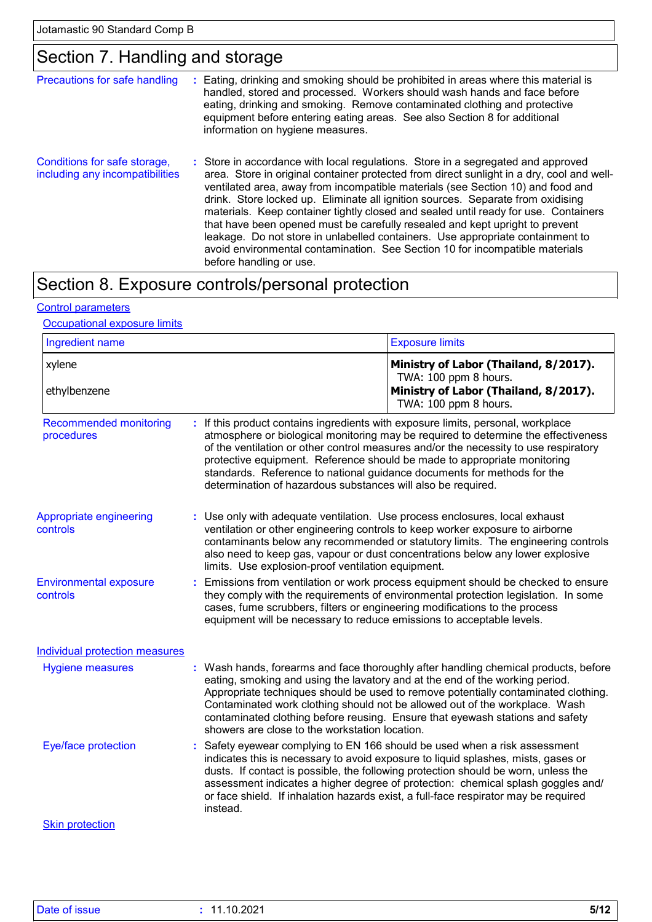# Section 7. Handling and storage

| Precautions for safe handling                                   | ÷. | Eating, drinking and smoking should be prohibited in areas where this material is<br>handled, stored and processed. Workers should wash hands and face before<br>eating, drinking and smoking. Remove contaminated clothing and protective<br>equipment before entering eating areas. See also Section 8 for additional<br>information on hygiene measures.                                                                                                                                                                                                                                                                                                                                                             |
|-----------------------------------------------------------------|----|-------------------------------------------------------------------------------------------------------------------------------------------------------------------------------------------------------------------------------------------------------------------------------------------------------------------------------------------------------------------------------------------------------------------------------------------------------------------------------------------------------------------------------------------------------------------------------------------------------------------------------------------------------------------------------------------------------------------------|
| Conditions for safe storage,<br>including any incompatibilities |    | : Store in accordance with local regulations. Store in a segregated and approved<br>area. Store in original container protected from direct sunlight in a dry, cool and well-<br>ventilated area, away from incompatible materials (see Section 10) and food and<br>drink. Store locked up. Eliminate all ignition sources. Separate from oxidising<br>materials. Keep container tightly closed and sealed until ready for use. Containers<br>that have been opened must be carefully resealed and kept upright to prevent<br>leakage. Do not store in unlabelled containers. Use appropriate containment to<br>avoid environmental contamination. See Section 10 for incompatible materials<br>before handling or use. |

# Section 8. Exposure controls/personal protection

#### Control parameters

#### **Occupational exposure limits**

| Ingredient name                             |                                                                                                                                                                                                                                                                                                                               | <b>Exposure limits</b>                                                                                                                                                                                                                                                                                                                                                                                                         |  |
|---------------------------------------------|-------------------------------------------------------------------------------------------------------------------------------------------------------------------------------------------------------------------------------------------------------------------------------------------------------------------------------|--------------------------------------------------------------------------------------------------------------------------------------------------------------------------------------------------------------------------------------------------------------------------------------------------------------------------------------------------------------------------------------------------------------------------------|--|
| xylene<br>ethylbenzene                      |                                                                                                                                                                                                                                                                                                                               | Ministry of Labor (Thailand, 8/2017).<br>TWA: 100 ppm 8 hours.<br>Ministry of Labor (Thailand, 8/2017).                                                                                                                                                                                                                                                                                                                        |  |
|                                             |                                                                                                                                                                                                                                                                                                                               | TWA: 100 ppm 8 hours.                                                                                                                                                                                                                                                                                                                                                                                                          |  |
| <b>Recommended monitoring</b><br>procedures | : If this product contains ingredients with exposure limits, personal, workplace<br>standards. Reference to national guidance documents for methods for the<br>determination of hazardous substances will also be required.                                                                                                   | atmosphere or biological monitoring may be required to determine the effectiveness<br>of the ventilation or other control measures and/or the necessity to use respiratory<br>protective equipment. Reference should be made to appropriate monitoring                                                                                                                                                                         |  |
| Appropriate engineering<br>controls         | : Use only with adequate ventilation. Use process enclosures, local exhaust<br>limits. Use explosion-proof ventilation equipment.                                                                                                                                                                                             | ventilation or other engineering controls to keep worker exposure to airborne<br>contaminants below any recommended or statutory limits. The engineering controls<br>also need to keep gas, vapour or dust concentrations below any lower explosive                                                                                                                                                                            |  |
| <b>Environmental exposure</b><br>controls   | Emissions from ventilation or work process equipment should be checked to ensure<br>they comply with the requirements of environmental protection legislation. In some<br>cases, fume scrubbers, filters or engineering modifications to the process<br>equipment will be necessary to reduce emissions to acceptable levels. |                                                                                                                                                                                                                                                                                                                                                                                                                                |  |
| <b>Individual protection measures</b>       |                                                                                                                                                                                                                                                                                                                               |                                                                                                                                                                                                                                                                                                                                                                                                                                |  |
| <b>Hygiene measures</b>                     | showers are close to the workstation location.                                                                                                                                                                                                                                                                                | : Wash hands, forearms and face thoroughly after handling chemical products, before<br>eating, smoking and using the lavatory and at the end of the working period.<br>Appropriate techniques should be used to remove potentially contaminated clothing.<br>Contaminated work clothing should not be allowed out of the workplace. Wash<br>contaminated clothing before reusing. Ensure that eyewash stations and safety      |  |
| Eye/face protection                         | instead.                                                                                                                                                                                                                                                                                                                      | Safety eyewear complying to EN 166 should be used when a risk assessment<br>indicates this is necessary to avoid exposure to liquid splashes, mists, gases or<br>dusts. If contact is possible, the following protection should be worn, unless the<br>assessment indicates a higher degree of protection: chemical splash goggles and/<br>or face shield. If inhalation hazards exist, a full-face respirator may be required |  |
| <b>Skin protection</b>                      |                                                                                                                                                                                                                                                                                                                               |                                                                                                                                                                                                                                                                                                                                                                                                                                |  |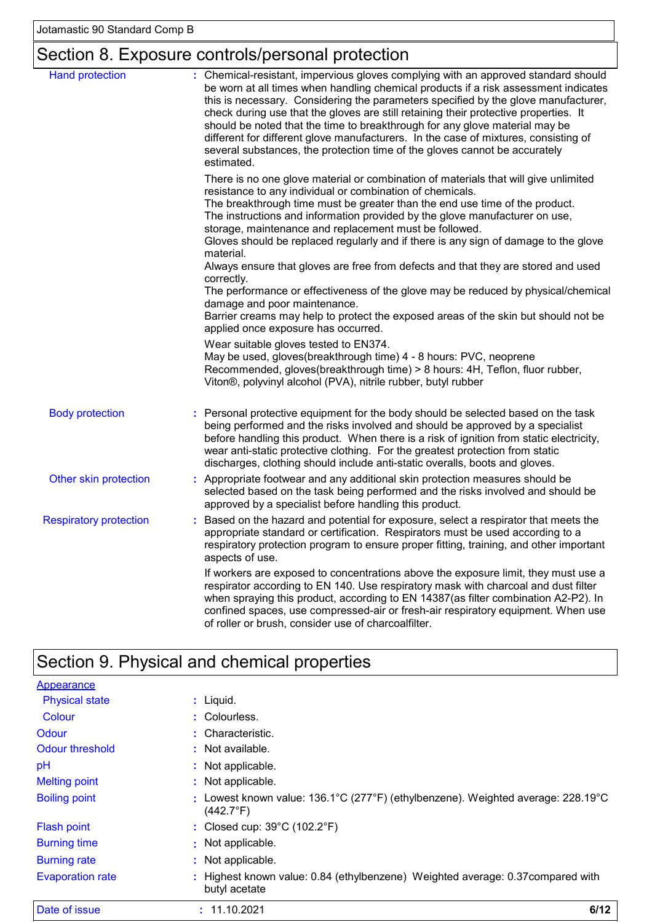# Section 8. Exposure controls/personal protection

| <b>Hand protection</b>        | : Chemical-resistant, impervious gloves complying with an approved standard should<br>be worn at all times when handling chemical products if a risk assessment indicates<br>this is necessary. Considering the parameters specified by the glove manufacturer,<br>check during use that the gloves are still retaining their protective properties. It<br>should be noted that the time to breakthrough for any glove material may be<br>different for different glove manufacturers. In the case of mixtures, consisting of<br>several substances, the protection time of the gloves cannot be accurately<br>estimated. |
|-------------------------------|---------------------------------------------------------------------------------------------------------------------------------------------------------------------------------------------------------------------------------------------------------------------------------------------------------------------------------------------------------------------------------------------------------------------------------------------------------------------------------------------------------------------------------------------------------------------------------------------------------------------------|
|                               | There is no one glove material or combination of materials that will give unlimited<br>resistance to any individual or combination of chemicals.<br>The breakthrough time must be greater than the end use time of the product.<br>The instructions and information provided by the glove manufacturer on use,<br>storage, maintenance and replacement must be followed.<br>Gloves should be replaced regularly and if there is any sign of damage to the glove<br>material.                                                                                                                                              |
|                               | Always ensure that gloves are free from defects and that they are stored and used<br>correctly.<br>The performance or effectiveness of the glove may be reduced by physical/chemical<br>damage and poor maintenance.<br>Barrier creams may help to protect the exposed areas of the skin but should not be<br>applied once exposure has occurred.                                                                                                                                                                                                                                                                         |
|                               | Wear suitable gloves tested to EN374.<br>May be used, gloves(breakthrough time) 4 - 8 hours: PVC, neoprene<br>Recommended, gloves(breakthrough time) > 8 hours: 4H, Teflon, fluor rubber,<br>Viton®, polyvinyl alcohol (PVA), nitrile rubber, butyl rubber                                                                                                                                                                                                                                                                                                                                                                |
| <b>Body protection</b>        | : Personal protective equipment for the body should be selected based on the task<br>being performed and the risks involved and should be approved by a specialist<br>before handling this product. When there is a risk of ignition from static electricity,<br>wear anti-static protective clothing. For the greatest protection from static<br>discharges, clothing should include anti-static overalls, boots and gloves.                                                                                                                                                                                             |
| Other skin protection         | Appropriate footwear and any additional skin protection measures should be<br>selected based on the task being performed and the risks involved and should be<br>approved by a specialist before handling this product.                                                                                                                                                                                                                                                                                                                                                                                                   |
| <b>Respiratory protection</b> | Based on the hazard and potential for exposure, select a respirator that meets the<br>appropriate standard or certification. Respirators must be used according to a<br>respiratory protection program to ensure proper fitting, training, and other important<br>aspects of use.                                                                                                                                                                                                                                                                                                                                         |
|                               | If workers are exposed to concentrations above the exposure limit, they must use a<br>respirator according to EN 140. Use respiratory mask with charcoal and dust filter<br>when spraying this product, according to EN 14387(as filter combination A2-P2). In<br>confined spaces, use compressed-air or fresh-air respiratory equipment. When use<br>of roller or brush, consider use of charcoalfilter.                                                                                                                                                                                                                 |

# Section 9. Physical and chemical properties

| Date of issue           | 6/12<br>: 11.10.2021                                                                                                       |
|-------------------------|----------------------------------------------------------------------------------------------------------------------------|
| <b>Evaporation rate</b> | Highest known value: 0.84 (ethylbenzene) Weighted average: 0.37 compared with<br>butyl acetate                             |
| <b>Burning rate</b>     | : Not applicable.                                                                                                          |
| <b>Burning time</b>     | : Not applicable.                                                                                                          |
| <b>Flash point</b>      | : Closed cup: $39^{\circ}$ C (102.2 $^{\circ}$ F)                                                                          |
| <b>Boiling point</b>    | : Lowest known value: $136.1^{\circ}$ C (277°F) (ethylbenzene). Weighted average: $228.19^{\circ}$ C<br>$(442.7^{\circ}F)$ |
| <b>Melting point</b>    | : Not applicable.                                                                                                          |
| pH                      | : Not applicable.                                                                                                          |
| Odour threshold         | : Not available.                                                                                                           |
| Odour                   | : Characteristic.                                                                                                          |
| Colour                  | : Colourless.                                                                                                              |
| <b>Physical state</b>   | $:$ Liquid.                                                                                                                |
| Appearance              |                                                                                                                            |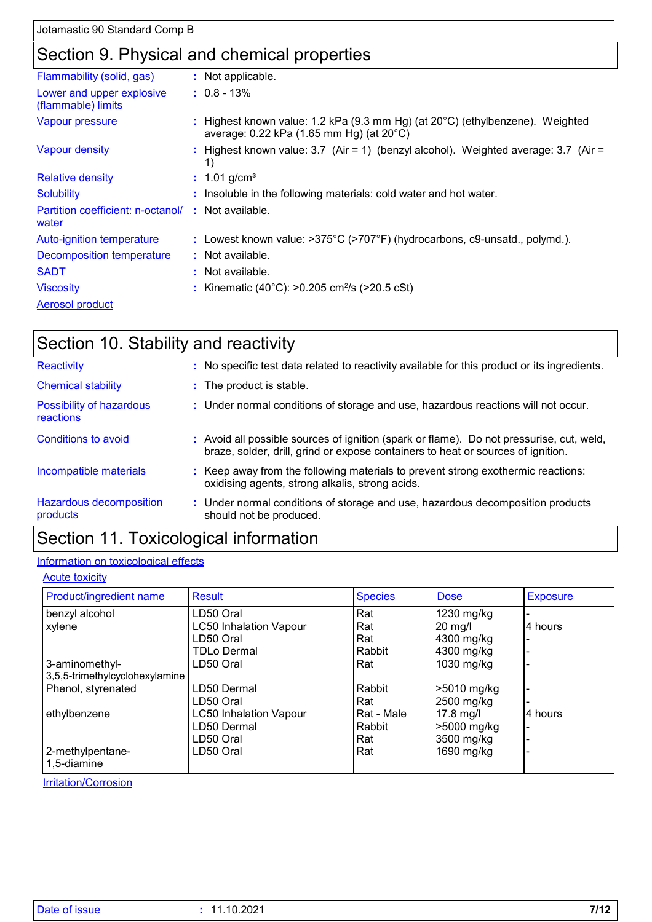## Section 9. Physical and chemical properties

| Flammability (solid, gas)                                   | : Not applicable.                                                                                                                   |
|-------------------------------------------------------------|-------------------------------------------------------------------------------------------------------------------------------------|
| Lower and upper explosive<br>(flammable) limits             | $: 0.8 - 13\%$                                                                                                                      |
| Vapour pressure                                             | : Highest known value: 1.2 kPa (9.3 mm Hg) (at $20^{\circ}$ C) (ethylbenzene). Weighted<br>average: 0.22 kPa (1.65 mm Hg) (at 20°C) |
| Vapour density                                              | : Highest known value: $3.7$ (Air = 1) (benzyl alcohol). Weighted average: $3.7$ (Air =<br>1)                                       |
| <b>Relative density</b>                                     | : $1.01$ g/cm <sup>3</sup>                                                                                                          |
| <b>Solubility</b>                                           | : Insoluble in the following materials: cold water and hot water.                                                                   |
| Partition coefficient: n-octanol/ : Not available.<br>water |                                                                                                                                     |
| Auto-ignition temperature                                   | : Lowest known value: >375°C (>707°F) (hydrocarbons, c9-unsatd., polymd.).                                                          |
| Decomposition temperature                                   | : Not available.                                                                                                                    |
| <b>SADT</b>                                                 | $:$ Not available.                                                                                                                  |
| <b>Viscosity</b>                                            | : Kinematic (40°C): >0.205 cm <sup>2</sup> /s (>20.5 cSt)                                                                           |
| <b>Aerosol product</b>                                      |                                                                                                                                     |

# Section 10. Stability and reactivity

| Reactivity                            | : No specific test data related to reactivity available for this product or its ingredients.                                                                                 |
|---------------------------------------|------------------------------------------------------------------------------------------------------------------------------------------------------------------------------|
| <b>Chemical stability</b>             | : The product is stable.                                                                                                                                                     |
| Possibility of hazardous<br>reactions | : Under normal conditions of storage and use, hazardous reactions will not occur.                                                                                            |
| Conditions to avoid                   | : Avoid all possible sources of ignition (spark or flame). Do not pressurise, cut, weld,<br>braze, solder, drill, grind or expose containers to heat or sources of ignition. |
| Incompatible materials                | : Keep away from the following materials to prevent strong exothermic reactions:<br>oxidising agents, strong alkalis, strong acids.                                          |
| Hazardous decomposition<br>products   | : Under normal conditions of storage and use, hazardous decomposition products<br>should not be produced.                                                                    |
|                                       |                                                                                                                                                                              |

### Section 11. Toxicological information

#### Information on toxicological effects

#### **Acute toxicity**

| Product/ingredient name        | <b>Result</b>                 | <b>Species</b> | <b>Dose</b> | <b>Exposure</b> |
|--------------------------------|-------------------------------|----------------|-------------|-----------------|
| benzyl alcohol                 | LD50 Oral                     | Rat            | 1230 mg/kg  |                 |
| xylene                         | <b>LC50 Inhalation Vapour</b> | Rat            | 20 mg/l     | 4 hours         |
|                                | LD50 Oral                     | Rat            | 4300 mg/kg  |                 |
|                                | TDLo Dermal                   | Rabbit         | 4300 mg/kg  |                 |
| 3-aminomethyl-                 | LD50 Oral                     | Rat            | 1030 mg/kg  |                 |
| 3,5,5-trimethylcyclohexylamine |                               |                |             |                 |
| Phenol, styrenated             | LD50 Dermal                   | Rabbit         | >5010 mg/kg |                 |
|                                | LD50 Oral                     | Rat            | 2500 mg/kg  |                 |
| ethylbenzene                   | <b>LC50 Inhalation Vapour</b> | Rat - Male     | 17.8 mg/l   | 4 hours         |
|                                | LD50 Dermal                   | Rabbit         | >5000 mg/kg |                 |
|                                | LD50 Oral                     | Rat            | 3500 mg/kg  |                 |
| 2-methylpentane-               | LD50 Oral                     | Rat            | 1690 mg/kg  |                 |
| 1,5-diamine                    |                               |                |             |                 |

**Irritation/Corrosion**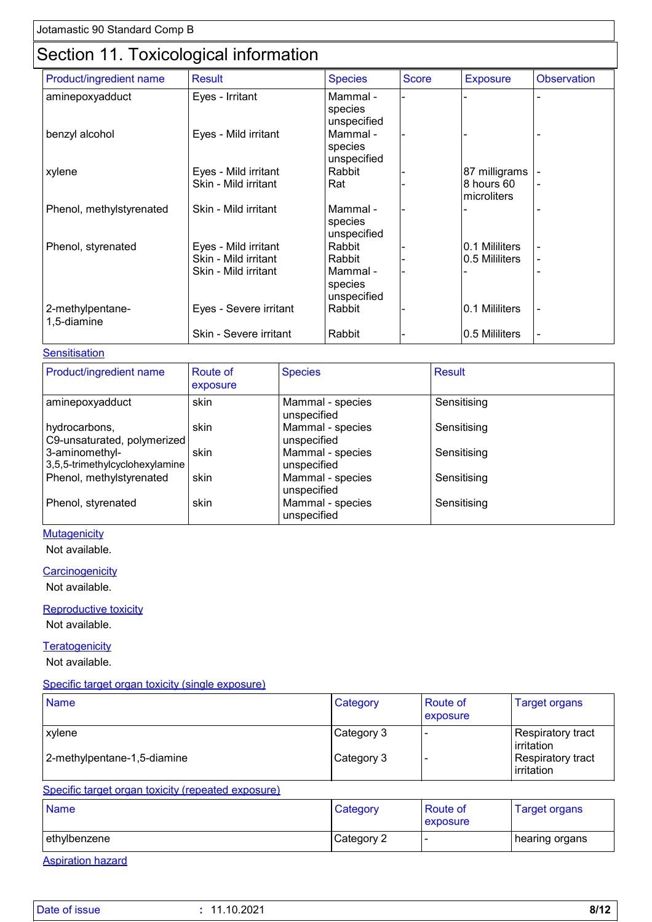# Section 11. Toxicological information

| Product/ingredient name         | <b>Result</b>          | <b>Species</b>                     | <b>Score</b> | <b>Exposure</b>           | <b>Observation</b>       |
|---------------------------------|------------------------|------------------------------------|--------------|---------------------------|--------------------------|
| aminepoxyadduct                 | Eyes - Irritant        | Mammal -<br>species<br>unspecified |              |                           |                          |
| benzyl alcohol                  | Eyes - Mild irritant   | Mammal -<br>species<br>unspecified |              |                           |                          |
| xylene                          | Eyes - Mild irritant   | Rabbit                             |              | 87 milligrams             |                          |
|                                 | Skin - Mild irritant   | Rat                                |              | 8 hours 60<br>microliters | $\blacksquare$           |
| Phenol, methylstyrenated        | Skin - Mild irritant   | Mammal -<br>species<br>unspecified |              |                           |                          |
| Phenol, styrenated              | Eyes - Mild irritant   | Rabbit                             |              | 0.1 Mililiters            |                          |
|                                 | Skin - Mild irritant   | Rabbit                             |              | 0.5 Mililiters            | $\blacksquare$           |
|                                 | Skin - Mild irritant   | Mammal -<br>species<br>unspecified |              |                           |                          |
| 2-methylpentane-<br>1,5-diamine | Eyes - Severe irritant | Rabbit                             |              | 0.1 Mililiters            | $\blacksquare$           |
|                                 | Skin - Severe irritant | Rabbit                             |              | 0.5 Mililiters            | $\overline{\phantom{a}}$ |
|                                 |                        |                                    |              |                           |                          |

#### **Sensitisation**

| Product/ingredient name                          | <b>Route of</b><br>exposure | <b>Species</b>                  | <b>Result</b> |
|--------------------------------------------------|-----------------------------|---------------------------------|---------------|
| aminepoxyadduct                                  | skin                        | Mammal - species<br>unspecified | Sensitising   |
| hydrocarbons,<br>C9-unsaturated, polymerized     | skin                        | Mammal - species<br>unspecified | Sensitising   |
| 3-aminomethyl-<br>3,5,5-trimethylcyclohexylamine | skin                        | Mammal - species<br>unspecified | Sensitising   |
| Phenol, methylstyrenated                         | skin                        | Mammal - species<br>unspecified | Sensitising   |
| Phenol, styrenated                               | skin                        | Mammal - species<br>unspecified | Sensitising   |

#### **Mutagenicity**

Not available.

#### **Carcinogenicity**

Not available.

#### Reproductive toxicity

Not available.

#### **Teratogenicity**

Not available.

#### Specific target organ toxicity (single exposure)

| <b>Name</b>                                                 | Category    | <b>Route of</b><br>exposure | <b>Target organs</b>                   |
|-------------------------------------------------------------|-------------|-----------------------------|----------------------------------------|
| <b>xvlene</b>                                               | ∣Category 3 | $\overline{\phantom{0}}$    | Respiratory tract<br>irritation        |
| 2-methylpentane-1,5-diamine                                 | Category 3  |                             | <b>Respiratory tract</b><br>irritation |
| On a alfia dannad annan darilaithe fhan a ada d'arma aguna) |             |                             |                                        |

#### Specific target organ toxicity (repeated exposure)

| <b>Name</b>   | Category   | <b>Route of</b><br><b>exposure</b> | I arget organs   |
|---------------|------------|------------------------------------|------------------|
| lethylbenzene | Category 2 |                                    | ∣ hearing organs |

Aspiration hazard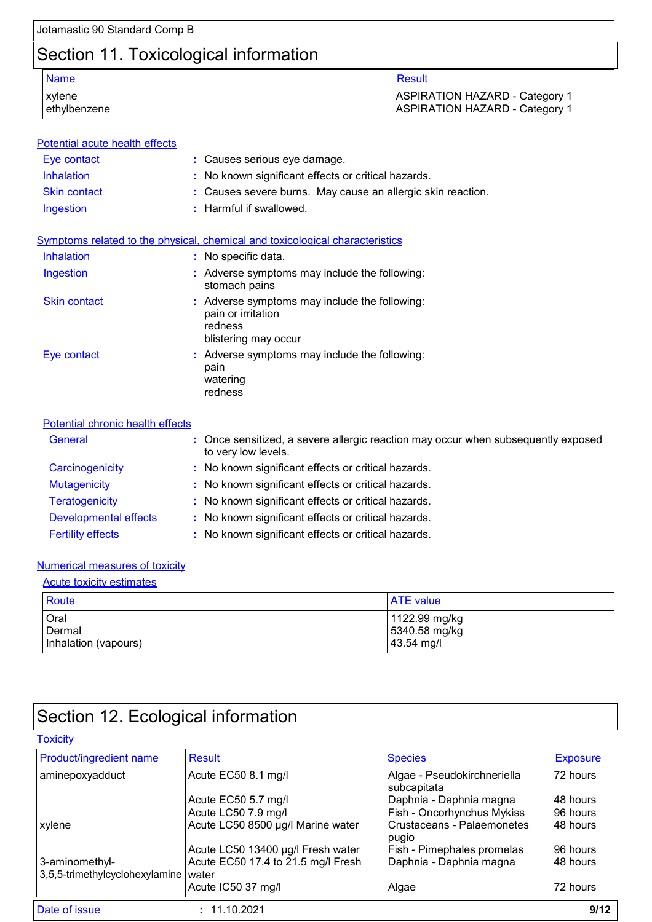# Section 11. Toxicological information

| <b>Name</b>  | Result                                |
|--------------|---------------------------------------|
| xvlene       | <b>ASPIRATION HAZARD - Category 1</b> |
| ethylbenzene | <b>ASPIRATION HAZARD - Category 1</b> |

| Potential acute health effects   |                                                                                                          |
|----------------------------------|----------------------------------------------------------------------------------------------------------|
| Eye contact                      | : Causes serious eye damage.                                                                             |
| Inhalation                       | : No known significant effects or critical hazards.                                                      |
| <b>Skin contact</b>              | : Causes severe burns. May cause an allergic skin reaction.                                              |
| Ingestion                        | : Harmful if swallowed.                                                                                  |
|                                  | Symptoms related to the physical, chemical and toxicological characteristics                             |
| Inhalation                       | : No specific data.                                                                                      |
| Ingestion                        | : Adverse symptoms may include the following:<br>stomach pains                                           |
| <b>Skin contact</b>              | : Adverse symptoms may include the following:<br>pain or irritation<br>redness<br>blistering may occur   |
| Eye contact                      | : Adverse symptoms may include the following:<br>pain<br>watering<br>redness                             |
| Potential chronic health effects |                                                                                                          |
| General                          | : Once sensitized, a severe allergic reaction may occur when subsequently exposed<br>to very low levels. |
| Carcinogenicity                  | : No known significant effects or critical hazards.                                                      |
| Mutogonicity                     | . No known cianificant offects or critical hozards.                                                      |

| <b>Mutagenicity</b>          | : No known significant effects or critical hazards. |
|------------------------------|-----------------------------------------------------|
| <b>Teratogenicity</b>        | : No known significant effects or critical hazards. |
| <b>Developmental effects</b> | : No known significant effects or critical hazards. |
| <b>Fertility effects</b>     | : No known significant effects or critical hazards. |

#### Numerical measures of toxicity

| <b>Acute toxicity estimates</b> |                  |
|---------------------------------|------------------|
| <b>Route</b>                    | <b>ATE</b> value |
| Oral                            | 1122.99 mg/kg    |
| Dermal                          | 5340.58 mg/kg    |
| Inhalation (vapours)            | $43.54$ mg/l     |

# Section 12. Ecological information

#### **Toxicity**

| Product/ingredient name                          | Result                                      | <b>Species</b>                             | <b>Exposure</b> |
|--------------------------------------------------|---------------------------------------------|--------------------------------------------|-----------------|
| aminepoxyadduct                                  | Acute EC50 8.1 mg/l                         | Algae - Pseudokirchneriella<br>subcapitata | 72 hours        |
|                                                  | Acute EC50 5.7 mg/l                         | Daphnia - Daphnia magna                    | 48 hours        |
|                                                  | Acute LC50 7.9 mg/l                         | Fish - Oncorhynchus Mykiss                 | 96 hours        |
| xylene                                           | Acute LC50 8500 µg/l Marine water           | Crustaceans - Palaemonetes<br>pugio        | 48 hours        |
|                                                  | Acute LC50 13400 µg/l Fresh water           | Fish - Pimephales promelas                 | 96 hours        |
| 3-aminomethyl-<br>3,5,5-trimethylcyclohexylamine | Acute EC50 17.4 to 21.5 mg/l Fresh<br>water | Daphnia - Daphnia magna                    | 48 hours        |
|                                                  | Acute IC50 37 mg/l                          | Algae                                      | 72 hours        |
| Date of issue                                    | : 11.10.2021                                |                                            | 9/12            |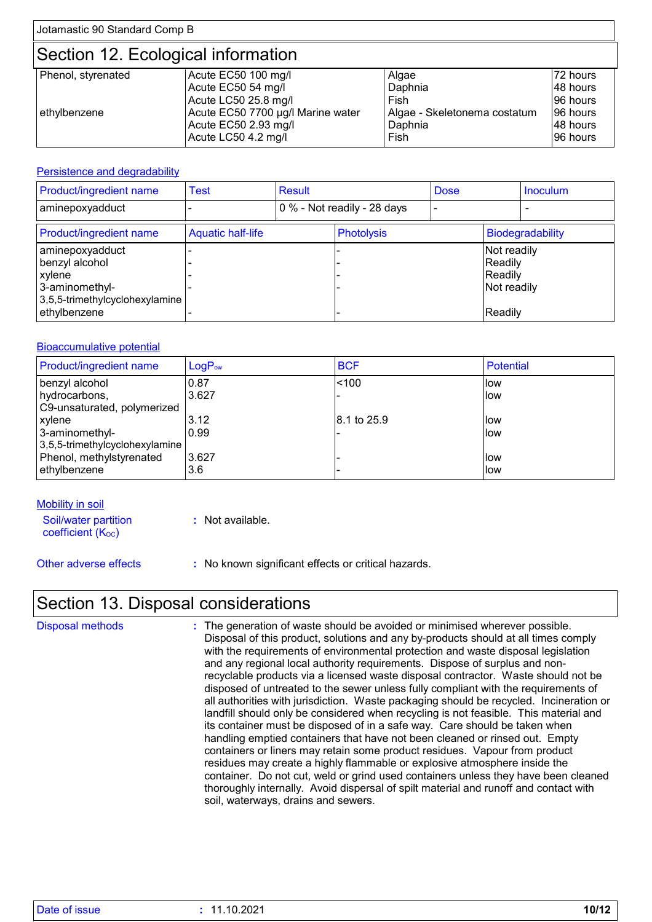## Section 12. Ecological information

| Phenol, styrenated | Acute EC50 100 mg/l               | Algae                        | 72 hours  |
|--------------------|-----------------------------------|------------------------------|-----------|
|                    | Acute EC50 54 mg/l                | Daphnia                      | I48 hours |
|                    | Acute LC50 25.8 mg/l              | Fish                         | 196 hours |
| ethylbenzene       | Acute EC50 7700 µg/l Marine water | Algae - Skeletonema costatum | 196 hours |
|                    | Acute EC50 2.93 mg/l              | Daphnia                      | 48 hours  |
|                    | Acute LC50 4.2 mg/l               | Fish                         | 196 hours |

#### Persistence and degradability

| <b>Product/ingredient name</b>                                                                    | <b>Test</b>              | <b>Result</b>               |                   | <b>Dose</b> |                                                  | <b>Inoculum</b>         |
|---------------------------------------------------------------------------------------------------|--------------------------|-----------------------------|-------------------|-------------|--------------------------------------------------|-------------------------|
| aminepoxyadduct                                                                                   |                          | 0 % - Not readily - 28 days |                   |             |                                                  |                         |
| <b>Product/ingredient name</b>                                                                    | <b>Aquatic half-life</b> |                             | <b>Photolysis</b> |             |                                                  | <b>Biodegradability</b> |
| aminepoxyadduct<br>benzyl alcohol<br>  xylene<br>3-aminomethyl-<br>3,5,5-trimethylcyclohexylamine |                          |                             |                   |             | Not readily<br>Readily<br>Readily<br>Not readily |                         |
| ethylbenzene                                                                                      |                          |                             |                   |             | Readily                                          |                         |

#### Bioaccumulative potential

| <b>Product/ingredient name</b> | $LogP_{ow}$ | <b>BCF</b>  | <b>Potential</b> |
|--------------------------------|-------------|-------------|------------------|
| benzyl alcohol                 | 0.87        | < 100       | llow             |
| hydrocarbons,                  | 3.627       |             | llow             |
| C9-unsaturated, polymerized    |             |             |                  |
| xylene                         | 3.12        | 8.1 to 25.9 | llow             |
| 3-aminomethyl-                 | 0.99        |             | llow             |
| 3,5,5-trimethylcyclohexylamine |             |             |                  |
| Phenol, methylstyrenated       | 3.627       |             | llow             |
| ethylbenzene                   | 3.6         |             | llow             |

#### Mobility in soil

Soil/water partition coefficient (Koc)

**:** Not available.

Other adverse effects **:** No known significant effects or critical hazards.

### Section 13. Disposal considerations

The generation of waste should be avoided or minimised wherever possible. Disposal of this product, solutions and any by-products should at all times comply with the requirements of environmental protection and waste disposal legislation and any regional local authority requirements. Dispose of surplus and nonrecyclable products via a licensed waste disposal contractor. Waste should not be disposed of untreated to the sewer unless fully compliant with the requirements of all authorities with jurisdiction. Waste packaging should be recycled. Incineration or landfill should only be considered when recycling is not feasible. This material and its container must be disposed of in a safe way. Care should be taken when handling emptied containers that have not been cleaned or rinsed out. Empty containers or liners may retain some product residues. Vapour from product residues may create a highly flammable or explosive atmosphere inside the container. Do not cut, weld or grind used containers unless they have been cleaned thoroughly internally. Avoid dispersal of spilt material and runoff and contact with soil, waterways, drains and sewers. Disposal methods **:**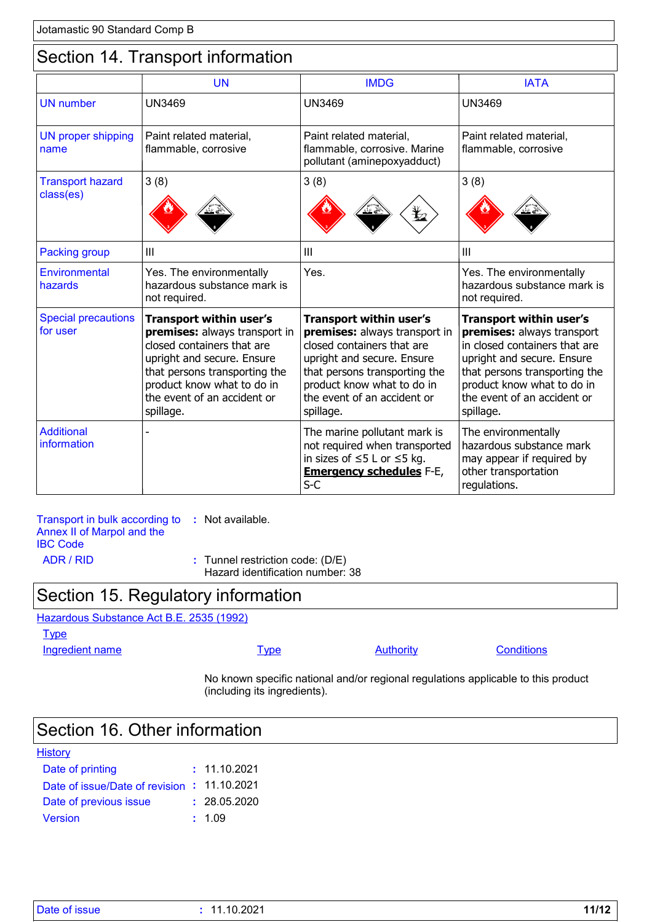### Section 14. Transport information

|                                        | <b>UN</b>                                                                                                                                                                                                                              | <b>IMDG</b>                                                                                                                                                                                                                            | <b>IATA</b>                                                                                                                                                                                                                            |
|----------------------------------------|----------------------------------------------------------------------------------------------------------------------------------------------------------------------------------------------------------------------------------------|----------------------------------------------------------------------------------------------------------------------------------------------------------------------------------------------------------------------------------------|----------------------------------------------------------------------------------------------------------------------------------------------------------------------------------------------------------------------------------------|
| <b>UN</b> number                       | <b>UN3469</b>                                                                                                                                                                                                                          | <b>UN3469</b>                                                                                                                                                                                                                          | <b>UN3469</b>                                                                                                                                                                                                                          |
| <b>UN proper shipping</b><br>name      | Paint related material,<br>flammable, corrosive                                                                                                                                                                                        | Paint related material,<br>flammable, corrosive. Marine<br>pollutant (aminepoxyadduct)                                                                                                                                                 | Paint related material,<br>flammable, corrosive                                                                                                                                                                                        |
| <b>Transport hazard</b><br>class(es)   | 3(8)                                                                                                                                                                                                                                   | 3(8)<br>⋭2                                                                                                                                                                                                                             | 3(8)                                                                                                                                                                                                                                   |
| <b>Packing group</b>                   | Ш                                                                                                                                                                                                                                      | III                                                                                                                                                                                                                                    | III                                                                                                                                                                                                                                    |
| Environmental<br>hazards               | Yes. The environmentally<br>hazardous substance mark is<br>not required.                                                                                                                                                               | Yes.                                                                                                                                                                                                                                   | Yes. The environmentally<br>hazardous substance mark is<br>not required.                                                                                                                                                               |
| <b>Special precautions</b><br>for user | <b>Transport within user's</b><br>premises: always transport in<br>closed containers that are<br>upright and secure. Ensure<br>that persons transporting the<br>product know what to do in<br>the event of an accident or<br>spillage. | <b>Transport within user's</b><br>premises: always transport in<br>closed containers that are<br>upright and secure. Ensure<br>that persons transporting the<br>product know what to do in<br>the event of an accident or<br>spillage. | <b>Transport within user's</b><br>premises: always transport<br>in closed containers that are<br>upright and secure. Ensure<br>that persons transporting the<br>product know what to do in<br>the event of an accident or<br>spillage. |
| <b>Additional</b><br>information       |                                                                                                                                                                                                                                        | The marine pollutant mark is<br>not required when transported<br>in sizes of $\leq$ 5 L or $\leq$ 5 kg.<br><b>Emergency schedules F-E,</b><br>$S-C$                                                                                    | The environmentally<br>hazardous substance mark<br>may appear if required by<br>other transportation<br>regulations.                                                                                                                   |

Transport in bulk according to **:** Not available. Annex II of Marpol and the IBC Code ADR / RID **:** Tunnel restriction code: (D/E)

Hazard identification number: 38

## Section 15. Regulatory information

Hazardous Substance Act B.E. 2535 (1992)

**Type** 

Ingredient name **Type** Type Authority Conditions

No known specific national and/or regional regulations applicable to this product (including its ingredients).

### Section 16. Other information

| <b>History</b>                              |              |
|---------------------------------------------|--------------|
| Date of printing                            | : 11.10.2021 |
| Date of issue/Date of revision : 11.10.2021 |              |
| Date of previous issue                      | : 28.05.2020 |
| Version                                     | : 1.09       |

| Date of issue | .10.2021<br>- 1 | 1112<br>171 Z |
|---------------|-----------------|---------------|